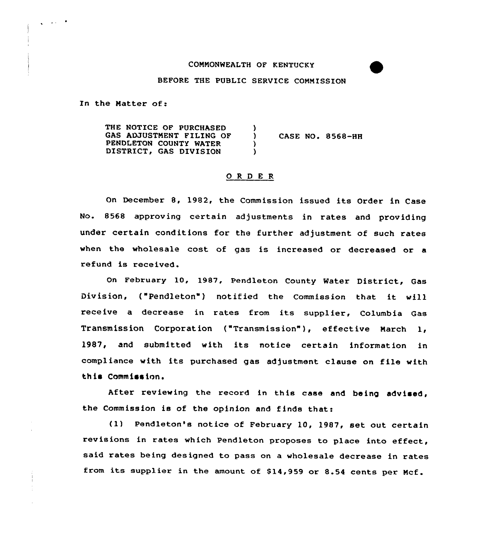## COMMONWEALTH OF KENTUCKY

#### BEFORE THE PUBLIC SERVICE COMMISSION

In the Matter of:

 $\sqrt{1-\frac{1}{2}}$  and  $\sqrt{1-\frac{1}{2}}$ 

THE NOTICE OF PURCHASED GAS ADJUSTMENT FILING OF PENDLETON COUNTY WATER DISTRICT, GAS DIVISION ) ) CASE NO. 8568-HH ) )

# Q R D E R

On December 8, 1982, the Commission issued its Order in Case No. 8568 approving certain adjustments in rates and providing under certain conditions for the further adjustment of such rates when the wholesale cost of gas is increased or decreased or a refund is received.

On February 10, 1987, Pendleton County Water District, Gas Division, ("Pendleton") notified the Commission that it will receive a decrease in rates from its supplier, Columbia Gas Transmission Corporation ("Transmission" ), effective March 1, 1987, and submitted with its notice certain information in compliance with its purchased gas adjustment clause on file with this Commission.

After reviewing the record in this case and being advised, the Commission is of the opinion and finds that:

(1) Pendleton's notice of February 10, 1987, set out certain revisions in rates which Pendleton proposes to place into effect, said xates being designed to pass on a wholesale decrease in rates from its supplier in the amount of \$14,959 or 8.54 cents per Mcf.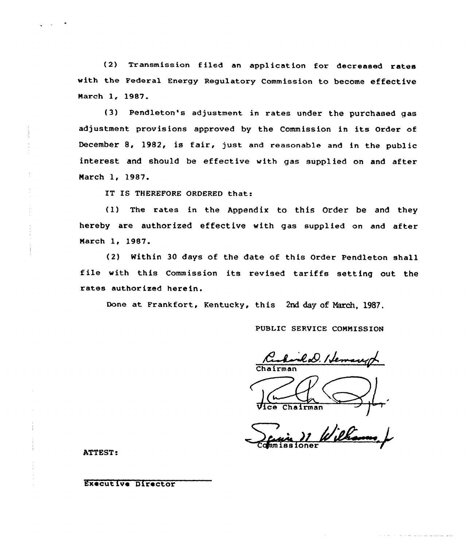(2) Transmission filed an application for decreased rates with the Federal Energy Regulatory Commission to become effective March 1, 1987.

{3) Pendleton's adjustment in rates under the purchased gas adjustment provisions approved by the Commission in its Order of December 8, 1982, is fair, just and reasonable and in the public interest and should be effective with gas supplied on and after March 1, 1987.

IT IS THEREFORE ORDERED that:

(1) The rates in the Appendix to this Order be and they hereby are authorized effective with gas supplied on and after March 1, l987.

(2) Within 30 days of the date of this Order Pendleton shall file with this Commission its revised tariffs setting out the rates authorized herein.

Done at Frankfort, Kentucky, this 2nd day of Arch, 1987.

PUBLIC SERVICE COMMISSION

rold. Heman,

Chairma Chairman

the company of the company of the company of the company of the company of the company of the company of the company of the company of the company of the company of the company of the company of the company of the company

ATTEST:

Executive Director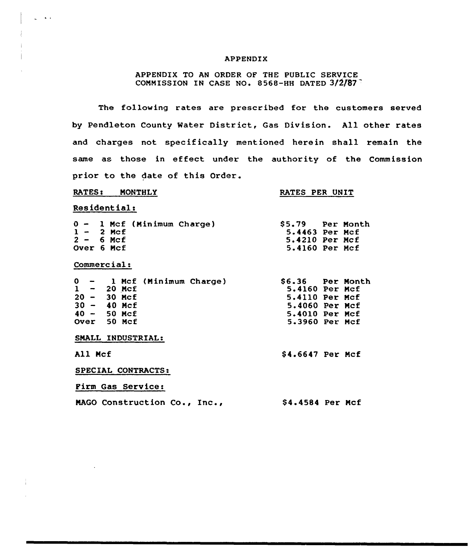### APPENDIX

APPENDIX TO AN ORDER OF THE PUBLIC SERVICE COMMISSION IN CASE NO. 8568-HH DATED  $3/2/87$ 

The following rates are prescribed for the customers served by Pendleton County Water District, Gas Division. All other rates and charges not specifically mentioned herein shall remain the same as those in effect under the authority of the Commission prior to the date of this Order.

### RATES: MONTHLY

## RATES PER UNIT

Residentials

 $\sim$ 

|  |             | $0 - 1$ Mcf (Minimum Charge) | \$5.79 Per Month |  |
|--|-------------|------------------------------|------------------|--|
|  | $1 - 2$ Mcf |                              | 5.4463 Per Mcf   |  |
|  | $2 - 6$ Mcf |                              | 5.4210 Per Mcf   |  |
|  | Over 6 Mcf  |                              | 5.4160 Per Mcf   |  |

Commercial:

|               |  |  | $0 - 1$ Mcf (Minimum Charge) |  | \$6.36 Per Month |  |
|---------------|--|--|------------------------------|--|------------------|--|
| $1 - 20$ Mcf  |  |  |                              |  | 5.4160 Per Mcf   |  |
| $20 - 30$ Mcf |  |  |                              |  | 5.4110 Per Mcf   |  |
| $30 - 40$ Mcf |  |  |                              |  | 5.4060 Per Mcf   |  |
| $40 - 50$ Mcf |  |  |                              |  | 5.4010 Per Mcf   |  |
| Over 50 Mcf   |  |  |                              |  | 5.3960 Per Mcf   |  |
|               |  |  | SMALL INDUSTRIAL:            |  |                  |  |
| All Mcf       |  |  |                              |  | \$4.6647 Per Mcf |  |

SPECIAL CONTRACTS:

Firm Gas Service:

| MAGO Construction Co., Inc., |  | \$4.4584 Per Mcf |  |
|------------------------------|--|------------------|--|
|                              |  |                  |  |